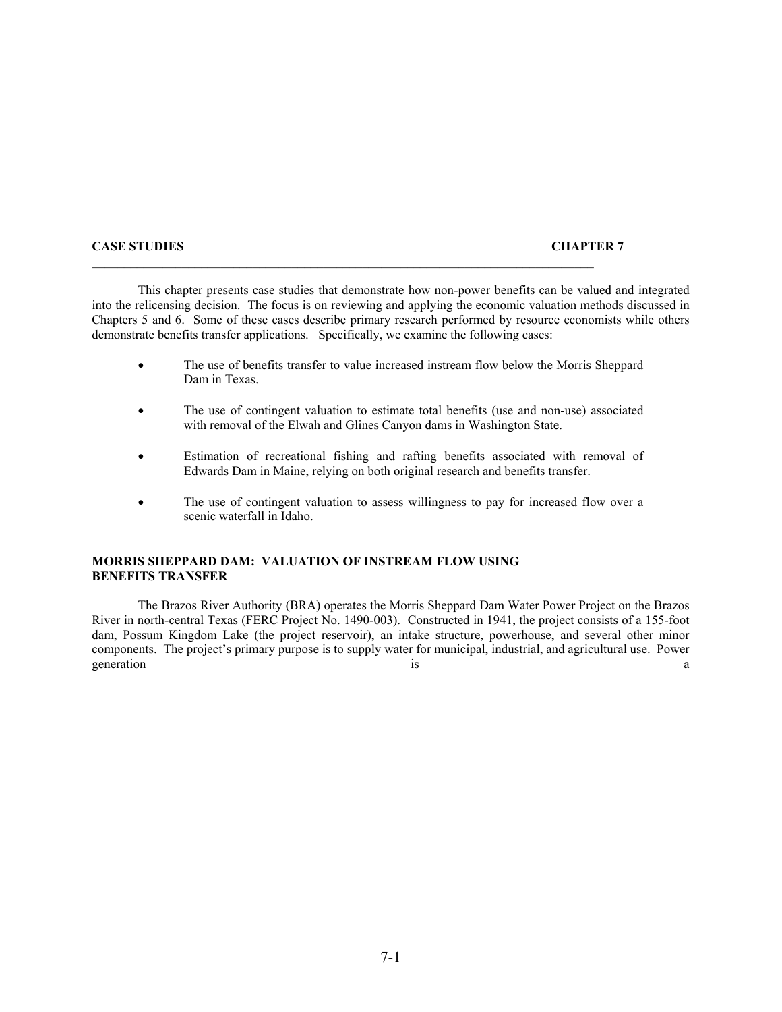#### **CASE STUDIES CHAPTER 7**

 This chapter presents case studies that demonstrate how non-power benefits can be valued and integrated into the relicensing decision. The focus is on reviewing and applying the economic valuation methods discussed in Chapters 5 and 6. Some of these cases describe primary research performed by resource economists while others demonstrate benefits transfer applications. Specifically, we examine the following cases:

- The use of benefits transfer to value increased instream flow below the Morris Sheppard Dam in Texas.
- The use of contingent valuation to estimate total benefits (use and non-use) associated with removal of the Elwah and Glines Canyon dams in Washington State.
- Estimation of recreational fishing and rafting benefits associated with removal of Edwards Dam in Maine, relying on both original research and benefits transfer.
- The use of contingent valuation to assess willingness to pay for increased flow over a scenic waterfall in Idaho.

## **MORRIS SHEPPARD DAM: VALUATION OF INSTREAM FLOW USING BENEFITS TRANSFER**

 The Brazos River Authority (BRA) operates the Morris Sheppard Dam Water Power Project on the Brazos River in north-central Texas (FERC Project No. 1490-003). Constructed in 1941, the project consists of a 155-foot dam, Possum Kingdom Lake (the project reservoir), an intake structure, powerhouse, and several other minor components. The project's primary purpose is to supply water for municipal, industrial, and agricultural use. Power generation and the set of the set of the set of the set of the set of the set of the set of the set of the set of the set of the set of the set of the set of the set of the set of the set of the set of the set of the set o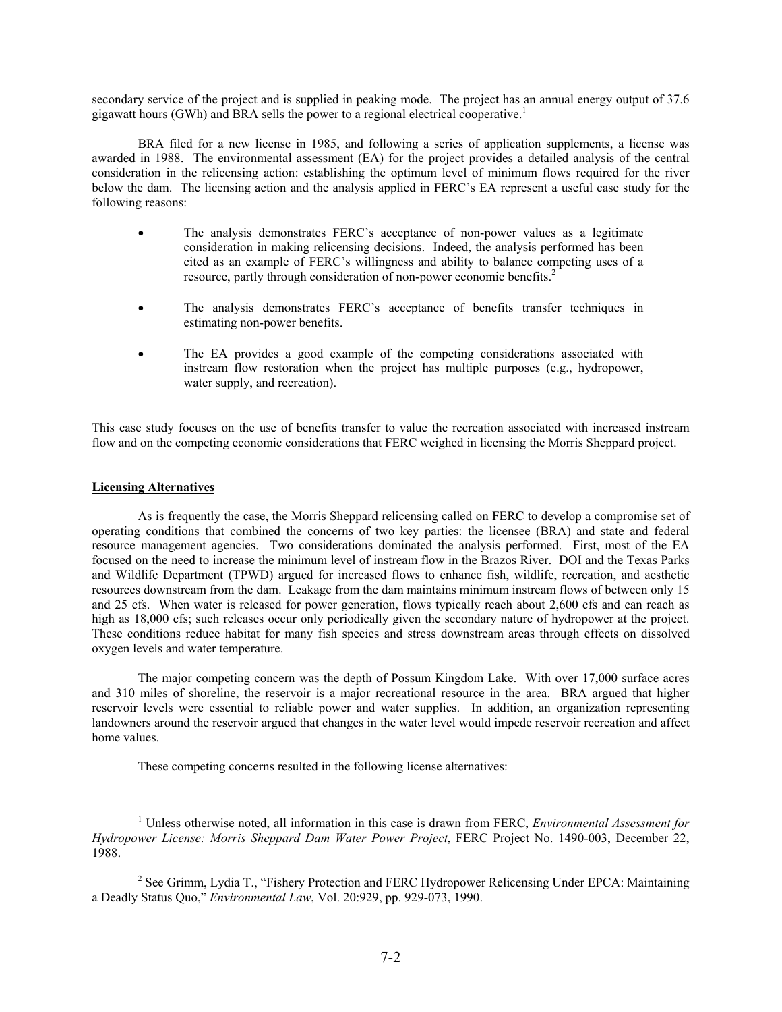secondary service of the project and is supplied in peaking mode. The project has an annual energy output of 37.6 gigawatt hours (GWh) and BRA sells the power to a regional electrical cooperative.<sup>1</sup>

 BRA filed for a new license in 1985, and following a series of application supplements, a license was awarded in 1988. The environmental assessment (EA) for the project provides a detailed analysis of the central consideration in the relicensing action: establishing the optimum level of minimum flows required for the river below the dam. The licensing action and the analysis applied in FERC's EA represent a useful case study for the following reasons:

- The analysis demonstrates FERC's acceptance of non-power values as a legitimate consideration in making relicensing decisions. Indeed, the analysis performed has been cited as an example of FERC's willingness and ability to balance competing uses of a resource, partly through consideration of non-power economic benefits.<sup>2</sup>
- The analysis demonstrates FERC's acceptance of benefits transfer techniques in estimating non-power benefits.
- The EA provides a good example of the competing considerations associated with instream flow restoration when the project has multiple purposes (e.g., hydropower, water supply, and recreation).

This case study focuses on the use of benefits transfer to value the recreation associated with increased instream flow and on the competing economic considerations that FERC weighed in licensing the Morris Sheppard project.

### **Licensing Alternatives**

As is frequently the case, the Morris Sheppard relicensing called on FERC to develop a compromise set of operating conditions that combined the concerns of two key parties: the licensee (BRA) and state and federal resource management agencies. Two considerations dominated the analysis performed. First, most of the EA focused on the need to increase the minimum level of instream flow in the Brazos River. DOI and the Texas Parks and Wildlife Department (TPWD) argued for increased flows to enhance fish, wildlife, recreation, and aesthetic resources downstream from the dam. Leakage from the dam maintains minimum instream flows of between only 15 and 25 cfs. When water is released for power generation, flows typically reach about 2,600 cfs and can reach as high as 18,000 cfs; such releases occur only periodically given the secondary nature of hydropower at the project. These conditions reduce habitat for many fish species and stress downstream areas through effects on dissolved oxygen levels and water temperature.

The major competing concern was the depth of Possum Kingdom Lake. With over 17,000 surface acres and 310 miles of shoreline, the reservoir is a major recreational resource in the area. BRA argued that higher reservoir levels were essential to reliable power and water supplies. In addition, an organization representing landowners around the reservoir argued that changes in the water level would impede reservoir recreation and affect home values.

These competing concerns resulted in the following license alternatives:

<sup>&</sup>lt;u>1</u> Unless otherwise noted, all information in this case is drawn from FERC, *Environmental Assessment for Hydropower License: Morris Sheppard Dam Water Power Project*, FERC Project No. 1490-003, December 22, 1988.

<sup>&</sup>lt;sup>2</sup> See Grimm, Lydia T., "Fishery Protection and FERC Hydropower Relicensing Under EPCA: Maintaining a Deadly Status Quo," *Environmental Law*, Vol. 20:929, pp. 929-073, 1990.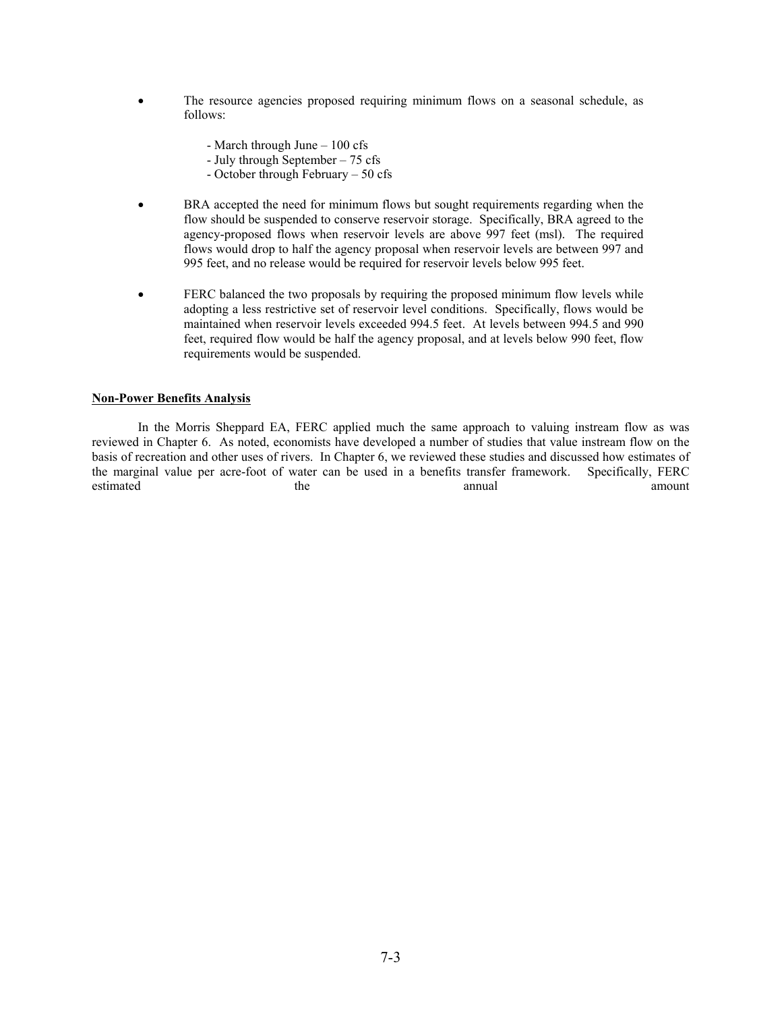- The resource agencies proposed requiring minimum flows on a seasonal schedule, as follows:
	- March through June 100 cfs
	- July through September 75 cfs
	- October through February 50 cfs
- BRA accepted the need for minimum flows but sought requirements regarding when the flow should be suspended to conserve reservoir storage. Specifically, BRA agreed to the agency-proposed flows when reservoir levels are above 997 feet (msl). The required flows would drop to half the agency proposal when reservoir levels are between 997 and 995 feet, and no release would be required for reservoir levels below 995 feet.
- FERC balanced the two proposals by requiring the proposed minimum flow levels while adopting a less restrictive set of reservoir level conditions. Specifically, flows would be maintained when reservoir levels exceeded 994.5 feet. At levels between 994.5 and 990 feet, required flow would be half the agency proposal, and at levels below 990 feet, flow requirements would be suspended.

# **Non-Power Benefits Analysis**

 In the Morris Sheppard EA, FERC applied much the same approach to valuing instream flow as was reviewed in Chapter 6. As noted, economists have developed a number of studies that value instream flow on the basis of recreation and other uses of rivers. In Chapter 6, we reviewed these studies and discussed how estimates of the marginal value per acre-foot of water can be used in a benefits transfer framework. Specifically, FERC estimated the the annual amount amount amount amount annual amount amount amount amount amount amount amount amount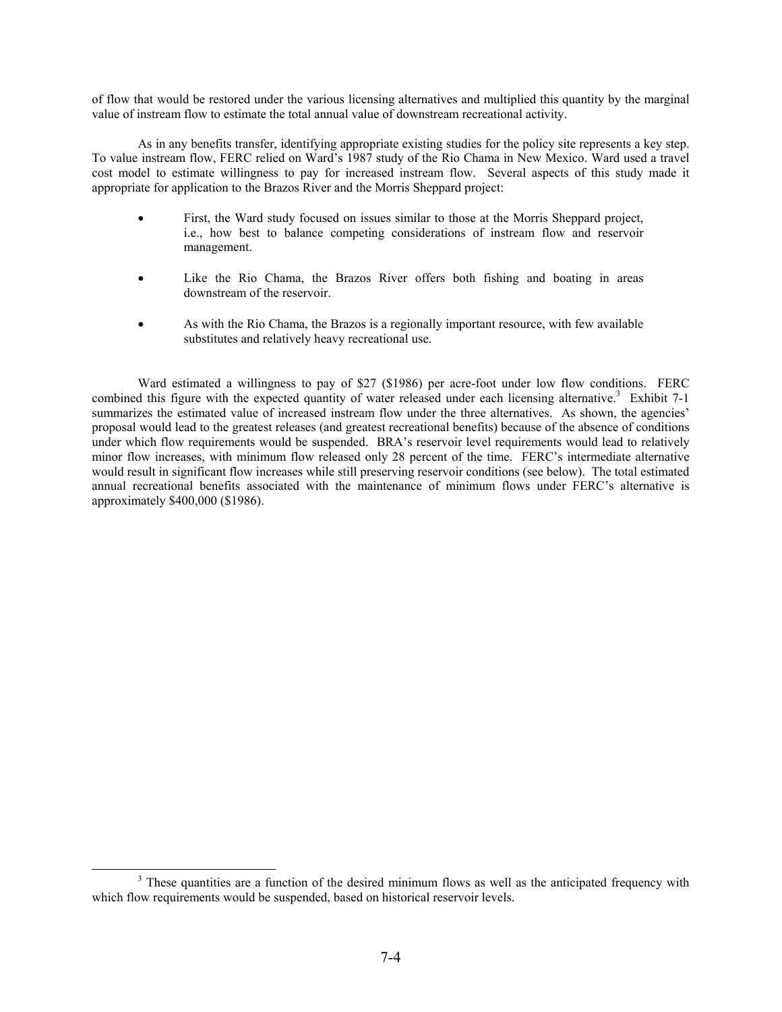of flow that would be restored under the various licensing alternatives and multiplied this quantity by the marginal value of instream flow to estimate the total annual value of downstream recreational activity.

As in any benefits transfer, identifying appropriate existing studies for the policy site represents a key step. To value instream flow, FERC relied on Ward's 1987 study of the Rio Chama in New Mexico. Ward used a travel cost model to estimate willingness to pay for increased instream flow. Several aspects of this study made it appropriate for application to the Brazos River and the Morris Sheppard project:

- First, the Ward study focused on issues similar to those at the Morris Sheppard project, i.e., how best to balance competing considerations of instream flow and reservoir management.
- Like the Rio Chama, the Brazos River offers both fishing and boating in areas downstream of the reservoir.
- As with the Rio Chama, the Brazos is a regionally important resource, with few available substitutes and relatively heavy recreational use.

Ward estimated a willingness to pay of \$27 (\$1986) per acre-foot under low flow conditions. FERC combined this figure with the expected quantity of water released under each licensing alternative.<sup>3</sup> Exhibit 7-1 summarizes the estimated value of increased instream flow under the three alternatives. As shown, the agencies' proposal would lead to the greatest releases (and greatest recreational benefits) because of the absence of conditions under which flow requirements would be suspended. BRA's reservoir level requirements would lead to relatively minor flow increases, with minimum flow released only 28 percent of the time. FERC's intermediate alternative would result in significant flow increases while still preserving reservoir conditions (see below). The total estimated annual recreational benefits associated with the maintenance of minimum flows under FERC's alternative is approximately \$400,000 (\$1986).

 $\frac{1}{3}$ <sup>3</sup> These quantities are a function of the desired minimum flows as well as the anticipated frequency with which flow requirements would be suspended, based on historical reservoir levels.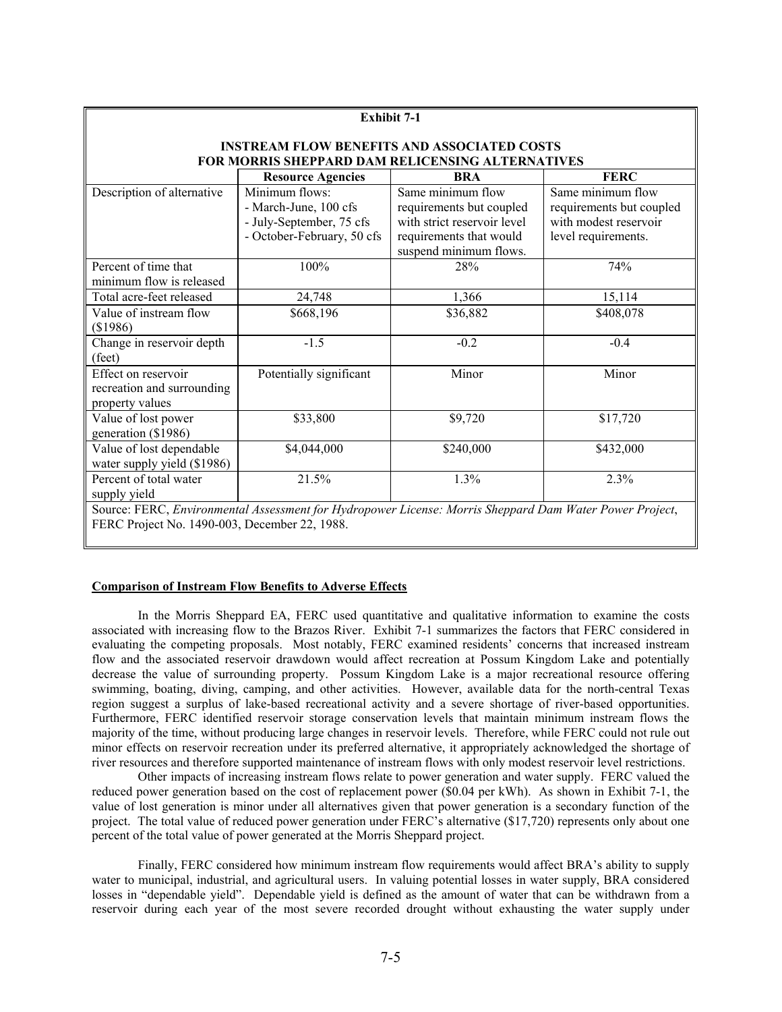| <b>Exhibit 7-1</b>                                                                                      |                                                  |                             |                          |  |  |
|---------------------------------------------------------------------------------------------------------|--------------------------------------------------|-----------------------------|--------------------------|--|--|
| <b>INSTREAM FLOW BENEFITS AND ASSOCIATED COSTS</b>                                                      |                                                  |                             |                          |  |  |
|                                                                                                         | FOR MORRIS SHEPPARD DAM RELICENSING ALTERNATIVES |                             |                          |  |  |
|                                                                                                         | <b>Resource Agencies</b>                         | BRA                         | <b>FERC</b>              |  |  |
| Description of alternative                                                                              | Minimum flows:                                   | Same minimum flow           | Same minimum flow        |  |  |
|                                                                                                         | - March-June, 100 cfs                            | requirements but coupled    | requirements but coupled |  |  |
|                                                                                                         | - July-September, 75 cfs                         | with strict reservoir level | with modest reservoir    |  |  |
|                                                                                                         | - October-February, 50 cfs                       | requirements that would     | level requirements.      |  |  |
|                                                                                                         |                                                  | suspend minimum flows.      |                          |  |  |
| Percent of time that                                                                                    | 100%                                             | 28%                         | 74%                      |  |  |
| minimum flow is released                                                                                |                                                  |                             |                          |  |  |
| Total acre-feet released                                                                                | 24,748                                           | 1,366                       | 15,114                   |  |  |
| Value of instream flow                                                                                  | \$668,196                                        | \$36,882                    | \$408,078                |  |  |
| (\$1986)                                                                                                |                                                  |                             |                          |  |  |
| Change in reservoir depth                                                                               | $-1.5$                                           | $-0.2$                      | $-0.4$                   |  |  |
| (feet)                                                                                                  |                                                  |                             |                          |  |  |
| Effect on reservoir                                                                                     | Potentially significant                          | Minor                       | Minor                    |  |  |
| recreation and surrounding                                                                              |                                                  |                             |                          |  |  |
| property values                                                                                         |                                                  |                             |                          |  |  |
| Value of lost power                                                                                     | \$33,800                                         | \$9,720                     | \$17,720                 |  |  |
| generation (\$1986)                                                                                     |                                                  |                             |                          |  |  |
| Value of lost dependable                                                                                | \$4,044,000                                      | \$240,000                   | \$432,000                |  |  |
| water supply yield (\$1986)                                                                             |                                                  |                             |                          |  |  |
| Percent of total water                                                                                  | 21.5%                                            | 1.3%                        | 2.3%                     |  |  |
| supply yield                                                                                            |                                                  |                             |                          |  |  |
| Source: FERC, Environmental Assessment for Hydropower License: Morris Sheppard Dam Water Power Project, |                                                  |                             |                          |  |  |
| FERC Project No. 1490-003, December 22, 1988.                                                           |                                                  |                             |                          |  |  |

#### **Comparison of Instream Flow Benefits to Adverse Effects**

 In the Morris Sheppard EA, FERC used quantitative and qualitative information to examine the costs associated with increasing flow to the Brazos River. Exhibit 7-1 summarizes the factors that FERC considered in evaluating the competing proposals. Most notably, FERC examined residents' concerns that increased instream flow and the associated reservoir drawdown would affect recreation at Possum Kingdom Lake and potentially decrease the value of surrounding property. Possum Kingdom Lake is a major recreational resource offering swimming, boating, diving, camping, and other activities. However, available data for the north-central Texas region suggest a surplus of lake-based recreational activity and a severe shortage of river-based opportunities. Furthermore, FERC identified reservoir storage conservation levels that maintain minimum instream flows the majority of the time, without producing large changes in reservoir levels. Therefore, while FERC could not rule out minor effects on reservoir recreation under its preferred alternative, it appropriately acknowledged the shortage of river resources and therefore supported maintenance of instream flows with only modest reservoir level restrictions.

 Other impacts of increasing instream flows relate to power generation and water supply. FERC valued the reduced power generation based on the cost of replacement power (\$0.04 per kWh). As shown in Exhibit 7-1, the value of lost generation is minor under all alternatives given that power generation is a secondary function of the project. The total value of reduced power generation under FERC's alternative (\$17,720) represents only about one percent of the total value of power generated at the Morris Sheppard project.

 Finally, FERC considered how minimum instream flow requirements would affect BRA's ability to supply water to municipal, industrial, and agricultural users. In valuing potential losses in water supply, BRA considered losses in "dependable yield". Dependable yield is defined as the amount of water that can be withdrawn from a reservoir during each year of the most severe recorded drought without exhausting the water supply under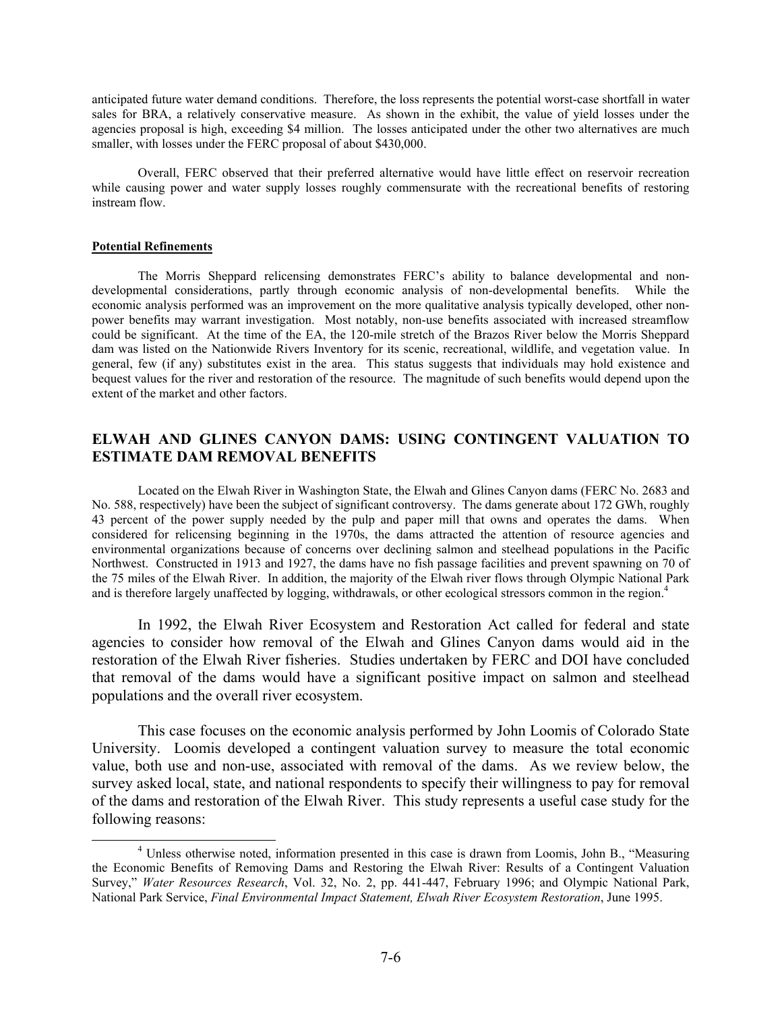anticipated future water demand conditions. Therefore, the loss represents the potential worst-case shortfall in water sales for BRA, a relatively conservative measure. As shown in the exhibit, the value of yield losses under the agencies proposal is high, exceeding \$4 million. The losses anticipated under the other two alternatives are much smaller, with losses under the FERC proposal of about \$430,000.

 Overall, FERC observed that their preferred alternative would have little effect on reservoir recreation while causing power and water supply losses roughly commensurate with the recreational benefits of restoring instream flow.

## **Potential Refinements**

 The Morris Sheppard relicensing demonstrates FERC's ability to balance developmental and nondevelopmental considerations, partly through economic analysis of non-developmental benefits. While the economic analysis performed was an improvement on the more qualitative analysis typically developed, other nonpower benefits may warrant investigation. Most notably, non-use benefits associated with increased streamflow could be significant. At the time of the EA, the 120-mile stretch of the Brazos River below the Morris Sheppard dam was listed on the Nationwide Rivers Inventory for its scenic, recreational, wildlife, and vegetation value. In general, few (if any) substitutes exist in the area. This status suggests that individuals may hold existence and bequest values for the river and restoration of the resource. The magnitude of such benefits would depend upon the extent of the market and other factors.

# **ELWAH AND GLINES CANYON DAMS: USING CONTINGENT VALUATION TO ESTIMATE DAM REMOVAL BENEFITS**

 Located on the Elwah River in Washington State, the Elwah and Glines Canyon dams (FERC No. 2683 and No. 588, respectively) have been the subject of significant controversy. The dams generate about 172 GWh, roughly 43 percent of the power supply needed by the pulp and paper mill that owns and operates the dams. When considered for relicensing beginning in the 1970s, the dams attracted the attention of resource agencies and environmental organizations because of concerns over declining salmon and steelhead populations in the Pacific Northwest. Constructed in 1913 and 1927, the dams have no fish passage facilities and prevent spawning on 70 of the 75 miles of the Elwah River. In addition, the majority of the Elwah river flows through Olympic National Park and is therefore largely unaffected by logging, withdrawals, or other ecological stressors common in the region.<sup>4</sup>

 In 1992, the Elwah River Ecosystem and Restoration Act called for federal and state agencies to consider how removal of the Elwah and Glines Canyon dams would aid in the restoration of the Elwah River fisheries. Studies undertaken by FERC and DOI have concluded that removal of the dams would have a significant positive impact on salmon and steelhead populations and the overall river ecosystem.

 This case focuses on the economic analysis performed by John Loomis of Colorado State University. Loomis developed a contingent valuation survey to measure the total economic value, both use and non-use, associated with removal of the dams. As we review below, the survey asked local, state, and national respondents to specify their willingness to pay for removal of the dams and restoration of the Elwah River. This study represents a useful case study for the following reasons:

 $\overline{a}$  Unless otherwise noted, information presented in this case is drawn from Loomis, John B., "Measuring the Economic Benefits of Removing Dams and Restoring the Elwah River: Results of a Contingent Valuation Survey," *Water Resources Research*, Vol. 32, No. 2, pp. 441-447, February 1996; and Olympic National Park, National Park Service, *Final Environmental Impact Statement, Elwah River Ecosystem Restoration*, June 1995.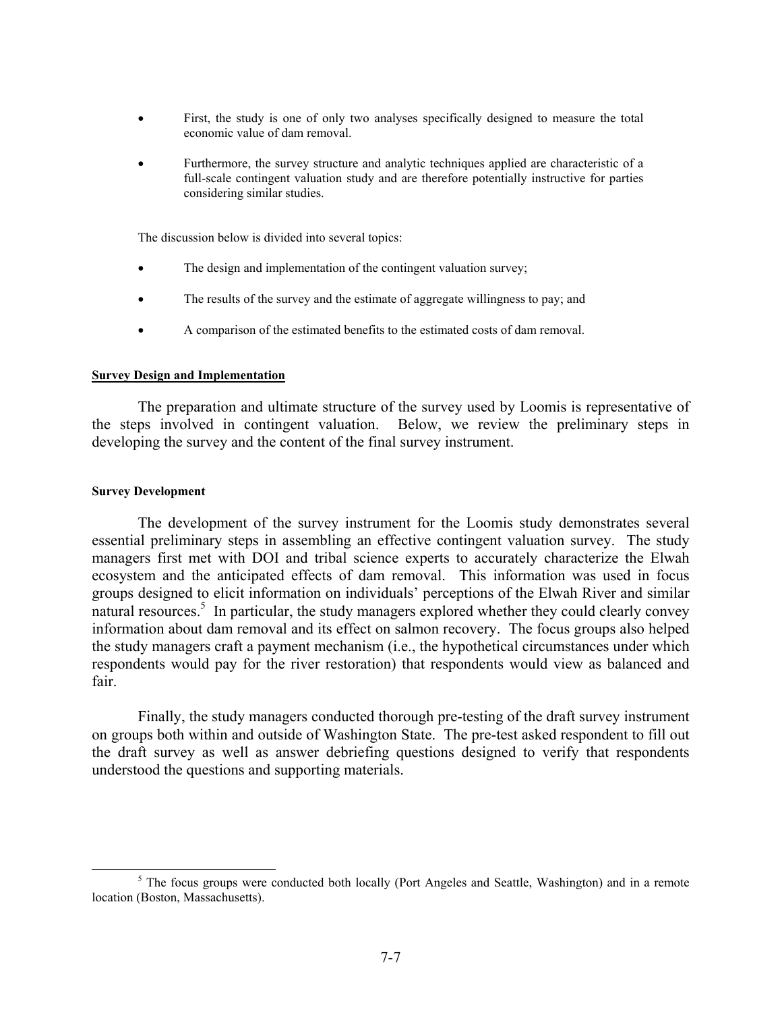- First, the study is one of only two analyses specifically designed to measure the total economic value of dam removal.
- Furthermore, the survey structure and analytic techniques applied are characteristic of a full-scale contingent valuation study and are therefore potentially instructive for parties considering similar studies.

The discussion below is divided into several topics:

- The design and implementation of the contingent valuation survey;
- The results of the survey and the estimate of aggregate willingness to pay; and
- A comparison of the estimated benefits to the estimated costs of dam removal.

# **Survey Design and Implementation**

 The preparation and ultimate structure of the survey used by Loomis is representative of the steps involved in contingent valuation. Below, we review the preliminary steps in developing the survey and the content of the final survey instrument.

# **Survey Development**

The development of the survey instrument for the Loomis study demonstrates several essential preliminary steps in assembling an effective contingent valuation survey. The study managers first met with DOI and tribal science experts to accurately characterize the Elwah ecosystem and the anticipated effects of dam removal. This information was used in focus groups designed to elicit information on individuals' perceptions of the Elwah River and similar  $\frac{1}{2}$  and  $\frac{1}{2}$  is a particular, the study managers explored whether they could clearly convey information about dam removal and its effect on salmon recovery. The focus groups also helped the study managers craft a payment mechanism (i.e., the hypothetical circumstances under which respondents would pay for the river restoration) that respondents would view as balanced and fair.

Finally, the study managers conducted thorough pre-testing of the draft survey instrument on groups both within and outside of Washington State. The pre-test asked respondent to fill out the draft survey as well as answer debriefing questions designed to verify that respondents understood the questions and supporting materials.

 $\frac{1}{5}$  $5$  The focus groups were conducted both locally (Port Angeles and Seattle, Washington) and in a remote location (Boston, Massachusetts).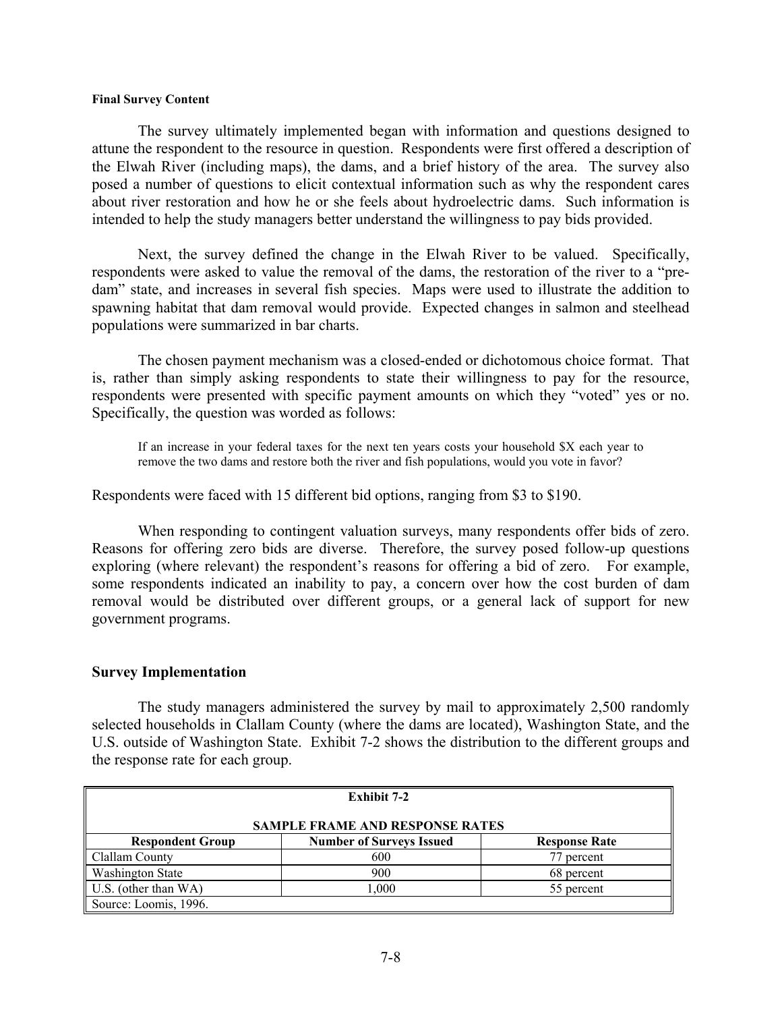# **Final Survey Content**

 The survey ultimately implemented began with information and questions designed to attune the respondent to the resource in question. Respondents were first offered a description of the Elwah River (including maps), the dams, and a brief history of the area. The survey also posed a number of questions to elicit contextual information such as why the respondent cares about river restoration and how he or she feels about hydroelectric dams. Such information is intended to help the study managers better understand the willingness to pay bids provided.

 Next, the survey defined the change in the Elwah River to be valued. Specifically, respondents were asked to value the removal of the dams, the restoration of the river to a "predam" state, and increases in several fish species. Maps were used to illustrate the addition to spawning habitat that dam removal would provide. Expected changes in salmon and steelhead populations were summarized in bar charts.

 The chosen payment mechanism was a closed-ended or dichotomous choice format. That is, rather than simply asking respondents to state their willingness to pay for the resource, respondents were presented with specific payment amounts on which they "voted" yes or no. Specifically, the question was worded as follows:

If an increase in your federal taxes for the next ten years costs your household \$X each year to remove the two dams and restore both the river and fish populations, would you vote in favor?

Respondents were faced with 15 different bid options, ranging from \$3 to \$190.

 When responding to contingent valuation surveys, many respondents offer bids of zero. Reasons for offering zero bids are diverse. Therefore, the survey posed follow-up questions exploring (where relevant) the respondent's reasons for offering a bid of zero. For example, some respondents indicated an inability to pay, a concern over how the cost burden of dam removal would be distributed over different groups, or a general lack of support for new government programs.

# **Survey Implementation**

 The study managers administered the survey by mail to approximately 2,500 randomly selected households in Clallam County (where the dams are located), Washington State, and the U.S. outside of Washington State. Exhibit 7-2 shows the distribution to the different groups and the response rate for each group.

| Exhibit 7-2                                                                        |     |            |  |  |  |
|------------------------------------------------------------------------------------|-----|------------|--|--|--|
| <b>SAMPLE FRAME AND RESPONSE RATES</b>                                             |     |            |  |  |  |
| <b>Number of Surveys Issued</b><br><b>Respondent Group</b><br><b>Response Rate</b> |     |            |  |  |  |
| Clallam County                                                                     | 600 | 77 percent |  |  |  |
| Washington State<br>900<br>68 percent                                              |     |            |  |  |  |
| U.S. (other than WA)<br>000, 1<br>55 percent                                       |     |            |  |  |  |
| Source: Loomis, 1996.                                                              |     |            |  |  |  |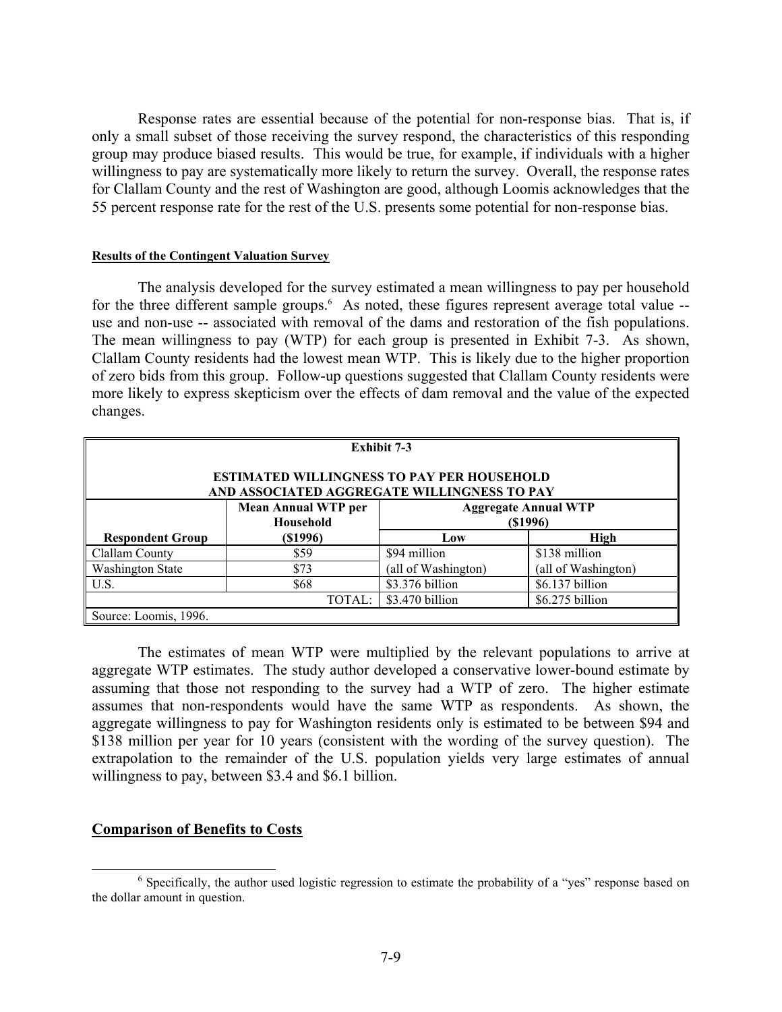Response rates are essential because of the potential for non-response bias. That is, if only a small subset of those receiving the survey respond, the characteristics of this responding group may produce biased results. This would be true, for example, if individuals with a higher willingness to pay are systematically more likely to return the survey. Overall, the response rates for Clallam County and the rest of Washington are good, although Loomis acknowledges that the 55 percent response rate for the rest of the U.S. presents some potential for non-response bias.

# **Results of the Contingent Valuation Survey**

 The analysis developed for the survey estimated a mean willingness to pay per household for the three different sample groups.<sup>6</sup> As noted, these figures represent average total value -use and non-use -- associated with removal of the dams and restoration of the fish populations. The mean willingness to pay (WTP) for each group is presented in Exhibit 7-3. As shown, Clallam County residents had the lowest mean WTP. This is likely due to the higher proportion of zero bids from this group. Follow-up questions suggested that Clallam County residents were more likely to express skepticism over the effects of dam removal and the value of the expected changes.

| <b>Exhibit 7-3</b><br><b>ESTIMATED WILLINGNESS TO PAY PER HOUSEHOLD</b><br>AND ASSOCIATED AGGREGATE WILLINGNESS TO PAY |                                         |                                            |                     |  |
|------------------------------------------------------------------------------------------------------------------------|-----------------------------------------|--------------------------------------------|---------------------|--|
|                                                                                                                        | <b>Mean Annual WTP per</b><br>Household | <b>Aggregate Annual WTP</b><br>$($ \$1996) |                     |  |
| <b>Respondent Group</b>                                                                                                | $($ \$1996 $)$                          | Low                                        | <b>High</b>         |  |
| Clallam County                                                                                                         | \$59                                    | \$94 million                               | \$138 million       |  |
| <b>Washington State</b>                                                                                                | \$73                                    | (all of Washington)                        | (all of Washington) |  |
| U.S.                                                                                                                   | \$68                                    | \$3.376 billion                            | \$6.137 billion     |  |
|                                                                                                                        | TOTAL:                                  | \$3.470 billion                            | \$6.275 billion     |  |
| Source: Loomis, 1996.                                                                                                  |                                         |                                            |                     |  |

The estimates of mean WTP were multiplied by the relevant populations to arrive at aggregate WTP estimates. The study author developed a conservative lower-bound estimate by assuming that those not responding to the survey had a WTP of zero. The higher estimate assumes that non-respondents would have the same WTP as respondents. As shown, the aggregate willingness to pay for Washington residents only is estimated to be between \$94 and \$138 million per year for 10 years (consistent with the wording of the survey question). The extrapolation to the remainder of the U.S. population yields very large estimates of annual willingness to pay, between \$3.4 and \$6.1 billion.

# **Comparison of Benefits to Costs**

 $\overline{6}$ <sup>6</sup> Specifically, the author used logistic regression to estimate the probability of a "yes" response based on the dollar amount in question.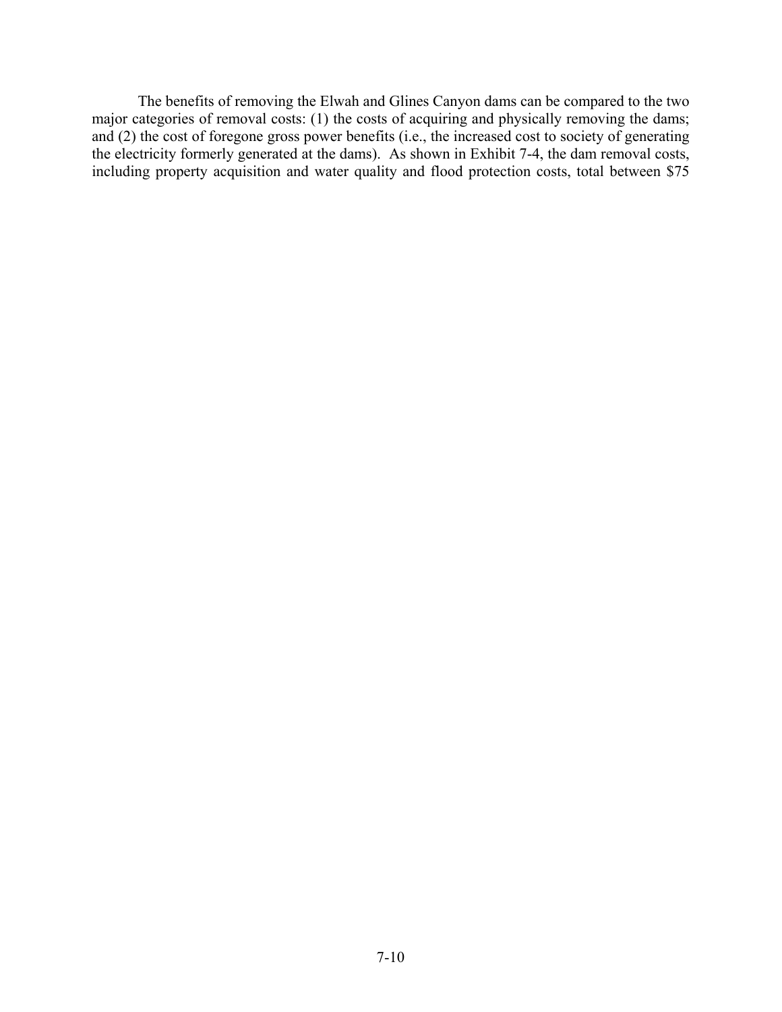The benefits of removing the Elwah and Glines Canyon dams can be compared to the two major categories of removal costs: (1) the costs of acquiring and physically removing the dams; and (2) the cost of foregone gross power benefits (i.e., the increased cost to society of generating the electricity formerly generated at the dams). As shown in Exhibit 7-4, the dam removal costs, including property acquisition and water quality and flood protection costs, total between \$75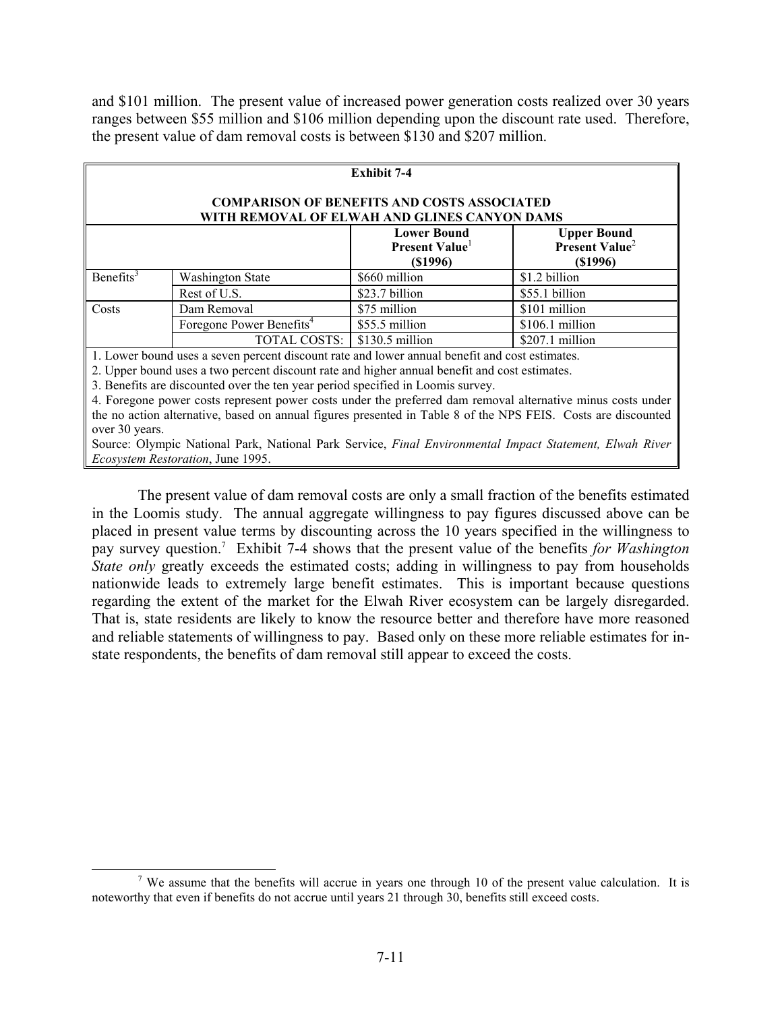and \$101 million. The present value of increased power generation costs realized over 30 years ranges between \$55 million and \$106 million depending upon the discount rate used. Therefore, the present value of dam removal costs is between \$130 and \$207 million.

| <b>Exhibit 7-4</b>                                                                                            |                                                                                                                    |                 |                  |  |  |
|---------------------------------------------------------------------------------------------------------------|--------------------------------------------------------------------------------------------------------------------|-----------------|------------------|--|--|
| <b>COMPARISON OF BENEFITS AND COSTS ASSOCIATED</b><br>WITH REMOVAL OF ELWAH AND GLINES CANYON DAMS            |                                                                                                                    |                 |                  |  |  |
|                                                                                                               | <b>Lower Bound</b><br><b>Upper Bound</b><br>Present Value <sup>2</sup><br>Present Value<br>(\$1996)<br>$($ \$1996) |                 |                  |  |  |
| Benefits <sup>3</sup>                                                                                         | <b>Washington State</b>                                                                                            | \$660 million   | \$1.2 billion    |  |  |
|                                                                                                               | Rest of U.S.                                                                                                       | \$23.7 billion  | \$55.1 billion   |  |  |
| Costs                                                                                                         | Dam Removal                                                                                                        | \$75 million    | \$101 million    |  |  |
|                                                                                                               | Foregone Power Benefits <sup>4</sup>                                                                               | \$55.5 million  | $$106.1$ million |  |  |
|                                                                                                               | <b>TOTAL COSTS:</b>                                                                                                | \$130.5 million | \$207.1 million  |  |  |
| 1. Lower bound uses a seven percent discount rate and lower annual benefit and cost estimates.                |                                                                                                                    |                 |                  |  |  |
| 2. Upper bound uses a two percent discount rate and higher annual benefit and cost estimates.                 |                                                                                                                    |                 |                  |  |  |
| 3. Benefits are discounted over the ten year period specified in Loomis survey.                               |                                                                                                                    |                 |                  |  |  |
| 4. Foregone power costs represent power costs under the preferred dam removal alternative minus costs under   |                                                                                                                    |                 |                  |  |  |
| the no action alternative, based on annual figures presented in Table 8 of the NPS FEIS. Costs are discounted |                                                                                                                    |                 |                  |  |  |
| over 30 years.                                                                                                |                                                                                                                    |                 |                  |  |  |
| Source: Olympic National Park, National Park Service, Final Environmental Impact Statement, Elwah River       |                                                                                                                    |                 |                  |  |  |
| <i>Ecosystem Restoration</i> , June 1995.                                                                     |                                                                                                                    |                 |                  |  |  |

 The present value of dam removal costs are only a small fraction of the benefits estimated in the Loomis study. The annual aggregate willingness to pay figures discussed above can be placed in present value terms by discounting across the 10 years specified in the willingness to pay survey question.7 Exhibit 7-4 shows that the present value of the benefits *for Washington State only* greatly exceeds the estimated costs; adding in willingness to pay from households nationwide leads to extremely large benefit estimates. This is important because questions regarding the extent of the market for the Elwah River ecosystem can be largely disregarded. That is, state residents are likely to know the resource better and therefore have more reasoned and reliable statements of willingness to pay. Based only on these more reliable estimates for instate respondents, the benefits of dam removal still appear to exceed the costs.

 <sup>7</sup> <sup>7</sup> We assume that the benefits will accrue in years one through 10 of the present value calculation. It is noteworthy that even if benefits do not accrue until years 21 through 30, benefits still exceed costs.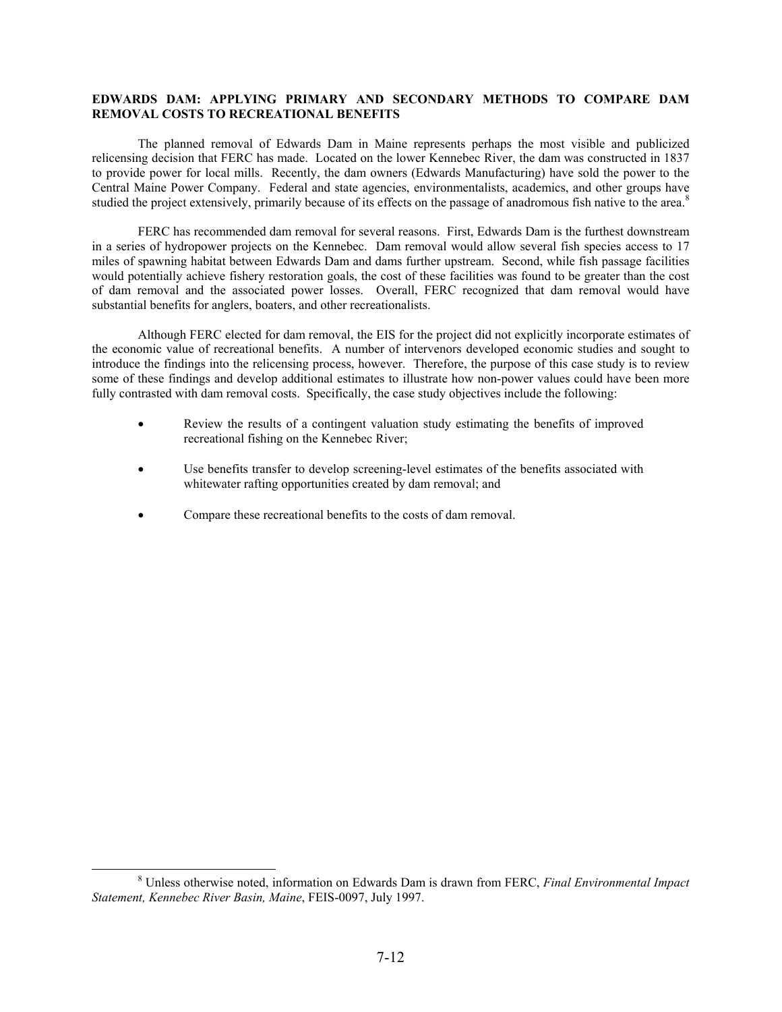# **EDWARDS DAM: APPLYING PRIMARY AND SECONDARY METHODS TO COMPARE DAM REMOVAL COSTS TO RECREATIONAL BENEFITS**

 The planned removal of Edwards Dam in Maine represents perhaps the most visible and publicized relicensing decision that FERC has made. Located on the lower Kennebec River, the dam was constructed in 1837 to provide power for local mills. Recently, the dam owners (Edwards Manufacturing) have sold the power to the Central Maine Power Company. Federal and state agencies, environmentalists, academics, and other groups have studied the project extensively, primarily because of its effects on the passage of anadromous fish native to the area.<sup>8</sup>

 FERC has recommended dam removal for several reasons. First, Edwards Dam is the furthest downstream in a series of hydropower projects on the Kennebec. Dam removal would allow several fish species access to 17 miles of spawning habitat between Edwards Dam and dams further upstream. Second, while fish passage facilities would potentially achieve fishery restoration goals, the cost of these facilities was found to be greater than the cost of dam removal and the associated power losses. Overall, FERC recognized that dam removal would have substantial benefits for anglers, boaters, and other recreationalists.

 Although FERC elected for dam removal, the EIS for the project did not explicitly incorporate estimates of the economic value of recreational benefits. A number of intervenors developed economic studies and sought to introduce the findings into the relicensing process, however. Therefore, the purpose of this case study is to review some of these findings and develop additional estimates to illustrate how non-power values could have been more fully contrasted with dam removal costs. Specifically, the case study objectives include the following:

- Review the results of a contingent valuation study estimating the benefits of improved recreational fishing on the Kennebec River;
- Use benefits transfer to develop screening-level estimates of the benefits associated with whitewater rafting opportunities created by dam removal; and
- Compare these recreational benefits to the costs of dam removal.

 $\overline{\qquad \qquad }$  8 Unless otherwise noted, information on Edwards Dam is drawn from FERC, *Final Environmental Impact Statement, Kennebec River Basin, Maine*, FEIS-0097, July 1997.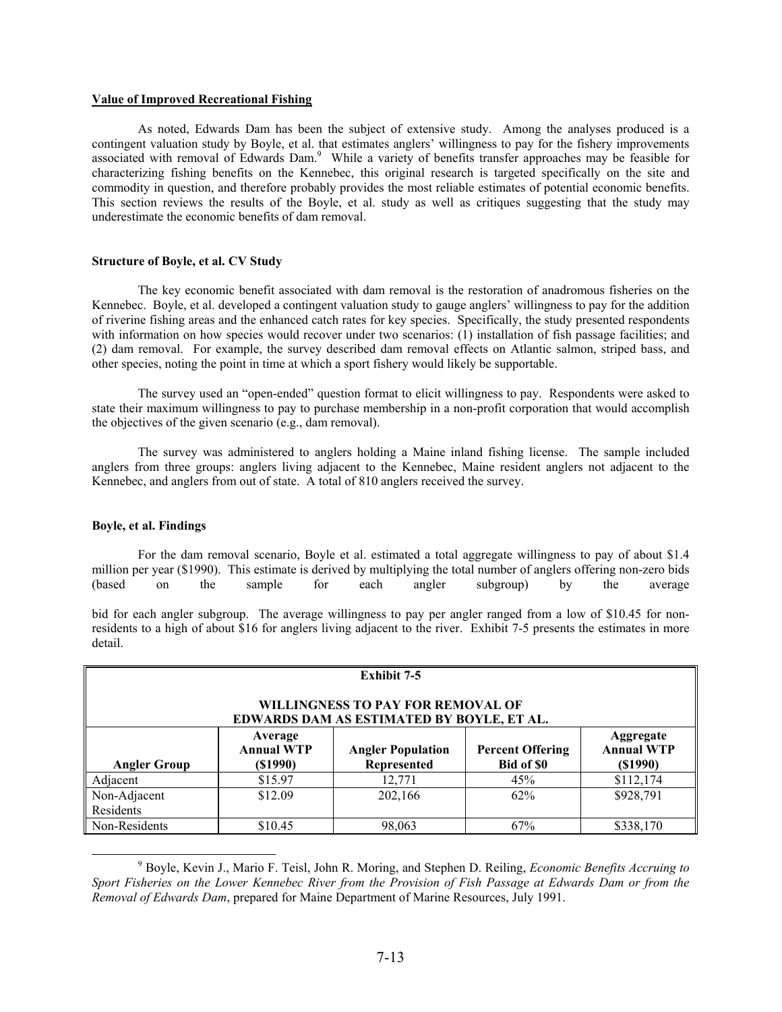### **Value of Improved Recreational Fishing**

 As noted, Edwards Dam has been the subject of extensive study. Among the analyses produced is a contingent valuation study by Boyle, et al. that estimates anglers' willingness to pay for the fishery improvements associated with removal of Edwards Dam.<sup>9</sup> While a variety of benefits transfer approaches may be feasible for characterizing fishing benefits on the Kennebec, this original research is targeted specifically on the site and commodity in question, and therefore probably provides the most reliable estimates of potential economic benefits. This section reviews the results of the Boyle, et al. study as well as critiques suggesting that the study may underestimate the economic benefits of dam removal.

### **Structure of Boyle, et al. CV Study**

 The key economic benefit associated with dam removal is the restoration of anadromous fisheries on the Kennebec. Boyle, et al. developed a contingent valuation study to gauge anglers' willingness to pay for the addition of riverine fishing areas and the enhanced catch rates for key species. Specifically, the study presented respondents with information on how species would recover under two scenarios: (1) installation of fish passage facilities; and (2) dam removal. For example, the survey described dam removal effects on Atlantic salmon, striped bass, and other species, noting the point in time at which a sport fishery would likely be supportable.

 The survey used an "open-ended" question format to elicit willingness to pay. Respondents were asked to state their maximum willingness to pay to purchase membership in a non-profit corporation that would accomplish the objectives of the given scenario (e.g., dam removal).

 The survey was administered to anglers holding a Maine inland fishing license. The sample included anglers from three groups: anglers living adjacent to the Kennebec, Maine resident anglers not adjacent to the Kennebec, and anglers from out of state. A total of 810 anglers received the survey.

#### **Boyle, et al. Findings**

 For the dam removal scenario, Boyle et al. estimated a total aggregate willingness to pay of about \$1.4 million per year (\$1990). This estimate is derived by multiplying the total number of anglers offering non-zero bids (based on the sample for each angler subgroup) by the average

bid for each angler subgroup. The average willingness to pay per angler ranged from a low of \$10.45 for nonresidents to a high of about \$16 for anglers living adjacent to the river. Exhibit 7-5 presents the estimates in more detail.

| Exhibit 7-5                                                                    |                                                                                                                                                                                  |         |     |           |  |
|--------------------------------------------------------------------------------|----------------------------------------------------------------------------------------------------------------------------------------------------------------------------------|---------|-----|-----------|--|
| WILLINGNESS TO PAY FOR REMOVAL OF<br>EDWARDS DAM AS ESTIMATED BY BOYLE, ET AL. |                                                                                                                                                                                  |         |     |           |  |
| <b>Angler Group</b>                                                            | Average<br>Aggregate<br><b>Annual WTP</b><br><b>Annual WTP</b><br><b>Angler Population</b><br><b>Percent Offering</b><br>Represented<br>Bid of \$0<br>$($ \$1990)<br>$($ \$1990) |         |     |           |  |
| Adjacent                                                                       | \$15.97                                                                                                                                                                          | 12,771  | 45% | \$112,174 |  |
| Non-Adjacent<br>Residents                                                      | \$12.09                                                                                                                                                                          | 202,166 | 62% | \$928,791 |  |
| Non-Residents                                                                  | \$10.45                                                                                                                                                                          | 98,063  | 67% | \$338,170 |  |

 <sup>9</sup> Boyle, Kevin J., Mario F. Teisl, John R. Moring, and Stephen D. Reiling, *Economic Benefits Accruing to Sport Fisheries on the Lower Kennebec River from the Provision of Fish Passage at Edwards Dam or from the Removal of Edwards Dam*, prepared for Maine Department of Marine Resources, July 1991.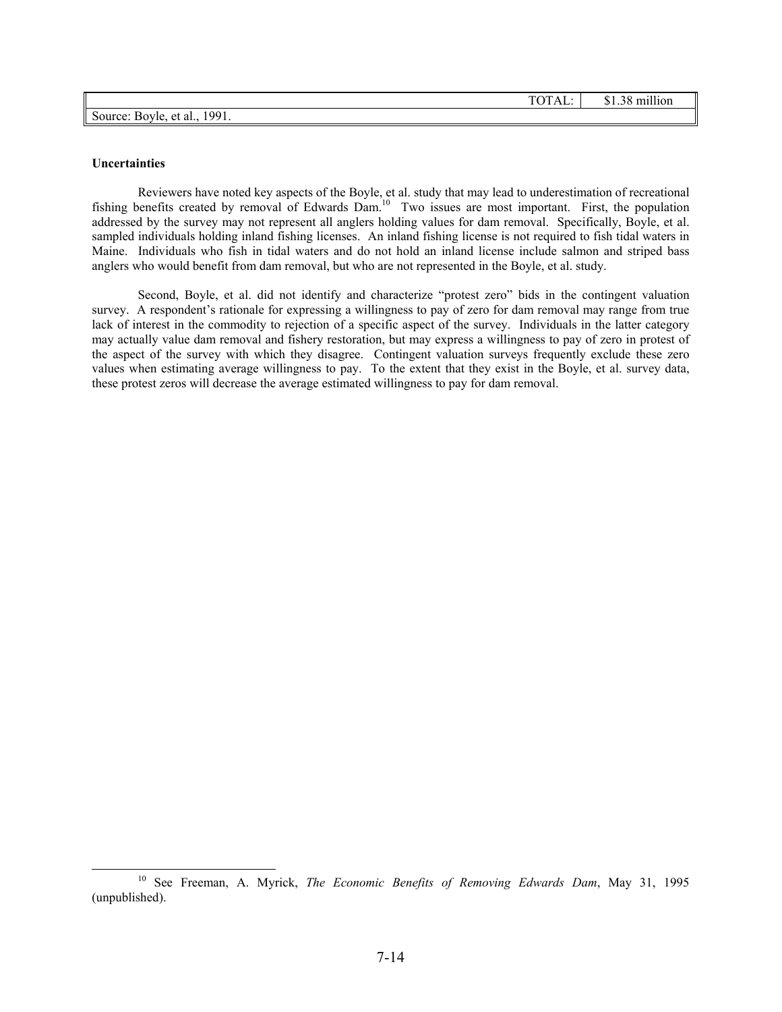|                              | TOTAL: I | $$1.38$ million |
|------------------------------|----------|-----------------|
| Source: Boyle, et al., 1991. |          |                 |

#### **Uncertainties**

 Reviewers have noted key aspects of the Boyle, et al. study that may lead to underestimation of recreational fishing benefits created by removal of Edwards Dam.<sup>10</sup> Two issues are most important. First, the population addressed by the survey may not represent all anglers holding values for dam removal. Specifically, Boyle, et al. sampled individuals holding inland fishing licenses. An inland fishing license is not required to fish tidal waters in Maine. Individuals who fish in tidal waters and do not hold an inland license include salmon and striped bass anglers who would benefit from dam removal, but who are not represented in the Boyle, et al. study.

 Second, Boyle, et al. did not identify and characterize "protest zero" bids in the contingent valuation survey. A respondent's rationale for expressing a willingness to pay of zero for dam removal may range from true lack of interest in the commodity to rejection of a specific aspect of the survey. Individuals in the latter category may actually value dam removal and fishery restoration, but may express a willingness to pay of zero in protest of the aspect of the survey with which they disagree. Contingent valuation surveys frequently exclude these zero values when estimating average willingness to pay. To the extent that they exist in the Boyle, et al. survey data, these protest zeros will decrease the average estimated willingness to pay for dam removal.

 <sup>10</sup> See Freeman, A. Myrick, *The Economic Benefits of Removing Edwards Dam*, May 31, 1995 (unpublished).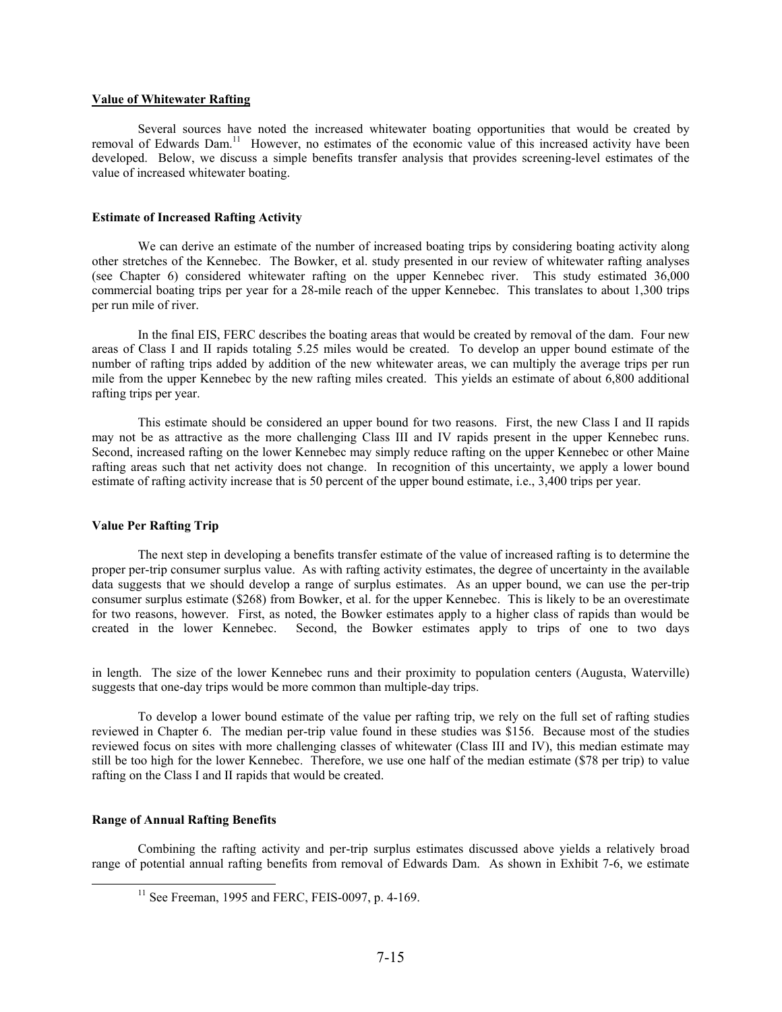### **Value of Whitewater Rafting**

 Several sources have noted the increased whitewater boating opportunities that would be created by removal of Edwards Dam.<sup>11</sup> However, no estimates of the economic value of this increased activity have been developed. Below, we discuss a simple benefits transfer analysis that provides screening-level estimates of the value of increased whitewater boating.

#### **Estimate of Increased Rafting Activity**

 We can derive an estimate of the number of increased boating trips by considering boating activity along other stretches of the Kennebec. The Bowker, et al. study presented in our review of whitewater rafting analyses (see Chapter 6) considered whitewater rafting on the upper Kennebec river. This study estimated 36,000 commercial boating trips per year for a 28-mile reach of the upper Kennebec. This translates to about 1,300 trips per run mile of river.

 In the final EIS, FERC describes the boating areas that would be created by removal of the dam. Four new areas of Class I and II rapids totaling 5.25 miles would be created. To develop an upper bound estimate of the number of rafting trips added by addition of the new whitewater areas, we can multiply the average trips per run mile from the upper Kennebec by the new rafting miles created. This yields an estimate of about 6,800 additional rafting trips per year.

This estimate should be considered an upper bound for two reasons. First, the new Class I and II rapids may not be as attractive as the more challenging Class III and IV rapids present in the upper Kennebec runs. Second, increased rafting on the lower Kennebec may simply reduce rafting on the upper Kennebec or other Maine rafting areas such that net activity does not change. In recognition of this uncertainty, we apply a lower bound estimate of rafting activity increase that is 50 percent of the upper bound estimate, i.e., 3,400 trips per year.

### **Value Per Rafting Trip**

 The next step in developing a benefits transfer estimate of the value of increased rafting is to determine the proper per-trip consumer surplus value. As with rafting activity estimates, the degree of uncertainty in the available data suggests that we should develop a range of surplus estimates. As an upper bound, we can use the per-trip consumer surplus estimate (\$268) from Bowker, et al. for the upper Kennebec. This is likely to be an overestimate for two reasons, however. First, as noted, the Bowker estimates apply to a higher class of rapids than would be created in the lower Kennebec. Second, the Bowker estimates apply to trips of one to two days

in length. The size of the lower Kennebec runs and their proximity to population centers (Augusta, Waterville) suggests that one-day trips would be more common than multiple-day trips.

To develop a lower bound estimate of the value per rafting trip, we rely on the full set of rafting studies reviewed in Chapter 6. The median per-trip value found in these studies was \$156. Because most of the studies reviewed focus on sites with more challenging classes of whitewater (Class III and IV), this median estimate may still be too high for the lower Kennebec. Therefore, we use one half of the median estimate (\$78 per trip) to value rafting on the Class I and II rapids that would be created.

#### **Range of Annual Rafting Benefits**

 Combining the rafting activity and per-trip surplus estimates discussed above yields a relatively broad range of potential annual rafting benefits from removal of Edwards Dam. As shown in Exhibit 7-6, we estimate

 $11$  See Freeman, 1995 and FERC, FEIS-0097, p. 4-169.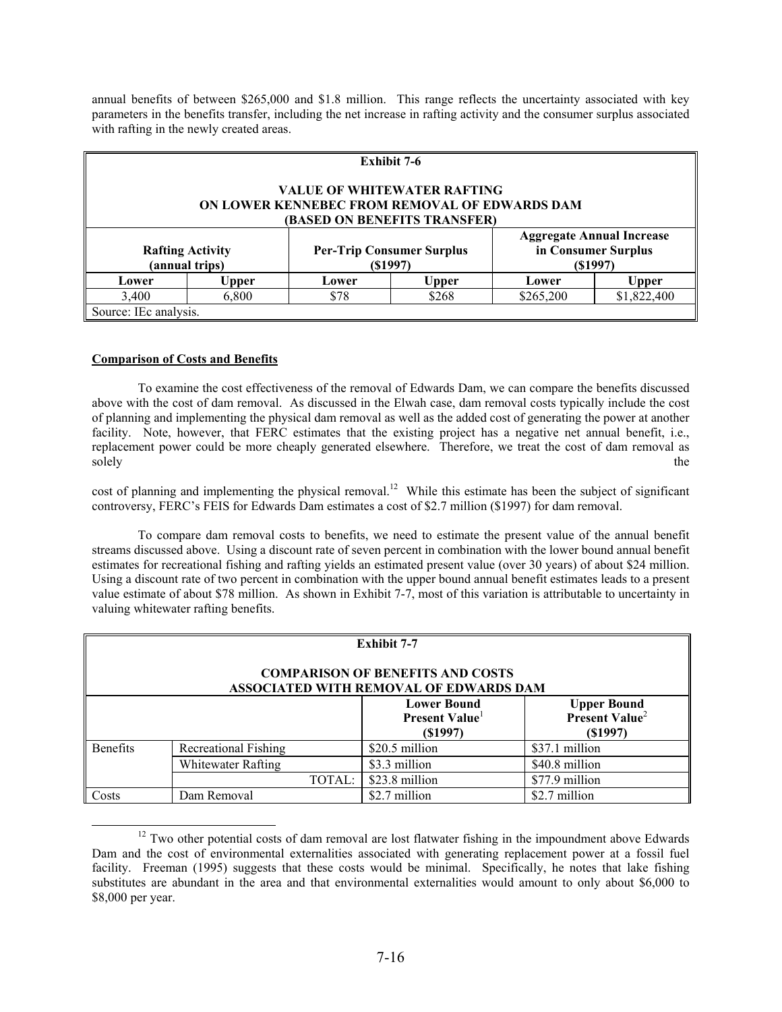annual benefits of between \$265,000 and \$1.8 million. This range reflects the uncertainty associated with key parameters in the benefits transfer, including the net increase in rafting activity and the consumer surplus associated with rafting in the newly created areas.

| <b>Exhibit 7-6</b>                                                                                                  |       |                                             |              |                                                                    |             |
|---------------------------------------------------------------------------------------------------------------------|-------|---------------------------------------------|--------------|--------------------------------------------------------------------|-------------|
| <b>VALUE OF WHITEWATER RAFTING</b><br>ON LOWER KENNEBEC FROM REMOVAL OF EDWARDS DAM<br>(BASED ON BENEFITS TRANSFER) |       |                                             |              |                                                                    |             |
| <b>Rafting Activity</b><br>(annual trips)                                                                           |       | <b>Per-Trip Consumer Surplus</b><br>(S1997) |              | <b>Aggregate Annual Increase</b><br>in Consumer Surplus<br>(S1997) |             |
| Lower                                                                                                               | Upper | Lower                                       | <b>Upper</b> | Lower                                                              | Upper       |
| 3,400                                                                                                               | 6,800 | \$78                                        | \$268        | \$265,200                                                          | \$1,822,400 |
| Source: IEc analysis.                                                                                               |       |                                             |              |                                                                    |             |

# **Comparison of Costs and Benefits**

 To examine the cost effectiveness of the removal of Edwards Dam, we can compare the benefits discussed above with the cost of dam removal. As discussed in the Elwah case, dam removal costs typically include the cost of planning and implementing the physical dam removal as well as the added cost of generating the power at another facility. Note, however, that FERC estimates that the existing project has a negative net annual benefit, i.e., replacement power could be more cheaply generated elsewhere. Therefore, we treat the cost of dam removal as solely the solely the solely the solely the solely the solely the solely the solely the solely the solely the solely  $\mathcal{L}$ 

cost of planning and implementing the physical removal.<sup>12</sup> While this estimate has been the subject of significant controversy, FERC's FEIS for Edwards Dam estimates a cost of \$2.7 million (\$1997) for dam removal.

 To compare dam removal costs to benefits, we need to estimate the present value of the annual benefit streams discussed above. Using a discount rate of seven percent in combination with the lower bound annual benefit estimates for recreational fishing and rafting yields an estimated present value (over 30 years) of about \$24 million. Using a discount rate of two percent in combination with the upper bound annual benefit estimates leads to a present value estimate of about \$78 million. As shown in Exhibit 7-7, most of this variation is attributable to uncertainty in valuing whitewater rafting benefits.

| <b>Exhibit 7-7</b>                                                                |                             |                                                             |                                                                     |  |
|-----------------------------------------------------------------------------------|-----------------------------|-------------------------------------------------------------|---------------------------------------------------------------------|--|
| <b>COMPARISON OF BENEFITS AND COSTS</b><br>ASSOCIATED WITH REMOVAL OF EDWARDS DAM |                             |                                                             |                                                                     |  |
|                                                                                   |                             | <b>Lower Bound</b><br>Present Value <sup>1</sup><br>(S1997) | <b>Upper Bound<br/>Present Value</b> <sup>2</sup><br>$($ \$1997 $)$ |  |
| <b>Benefits</b>                                                                   | <b>Recreational Fishing</b> | \$20.5 million                                              | \$37.1 million                                                      |  |
|                                                                                   | Whitewater Rafting          | \$3.3 million                                               | \$40.8 million                                                      |  |
|                                                                                   | TOTAL:                      | \$23.8 million                                              | \$77.9 million                                                      |  |
| Costs                                                                             | Dam Removal                 | \$2.7 million                                               | \$2.7 million                                                       |  |

<sup>&</sup>lt;sup>12</sup> Two other potential costs of dam removal are lost flatwater fishing in the impoundment above Edwards Dam and the cost of environmental externalities associated with generating replacement power at a fossil fuel facility. Freeman (1995) suggests that these costs would be minimal. Specifically, he notes that lake fishing substitutes are abundant in the area and that environmental externalities would amount to only about \$6,000 to \$8,000 per year.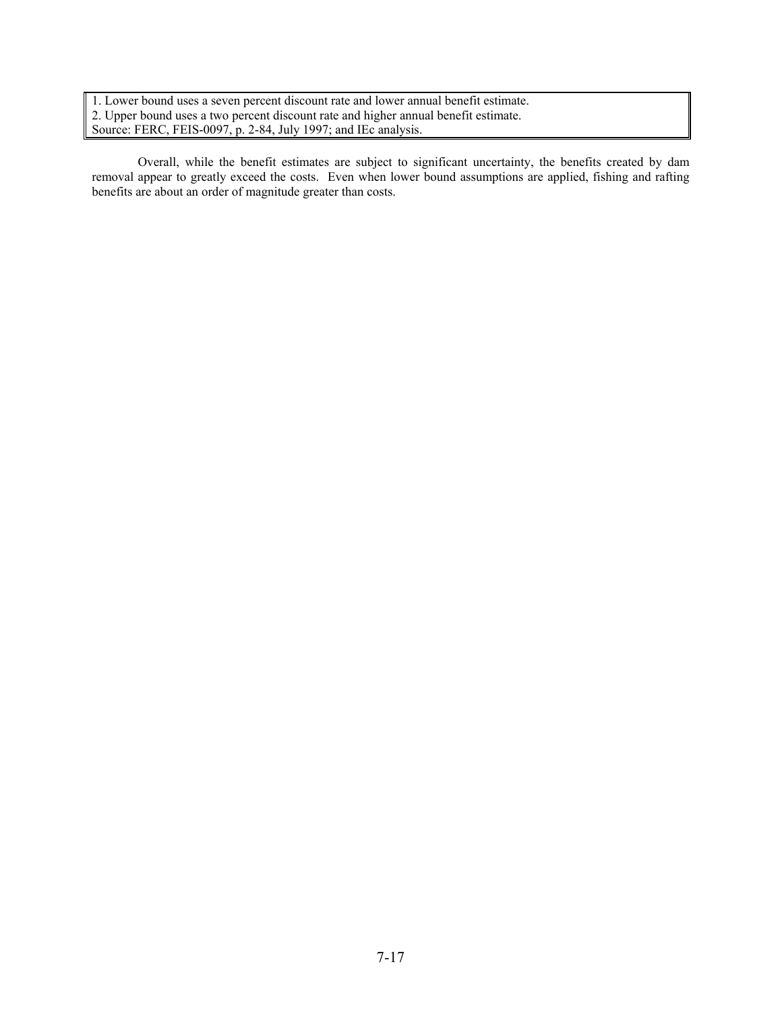1. Lower bound uses a seven percent discount rate and lower annual benefit estimate. 2. Upper bound uses a two percent discount rate and higher annual benefit estimate. Source: FERC, FEIS-0097, p. 2-84, July 1997; and IEc analysis.

 Overall, while the benefit estimates are subject to significant uncertainty, the benefits created by dam removal appear to greatly exceed the costs. Even when lower bound assumptions are applied, fishing and rafting benefits are about an order of magnitude greater than costs.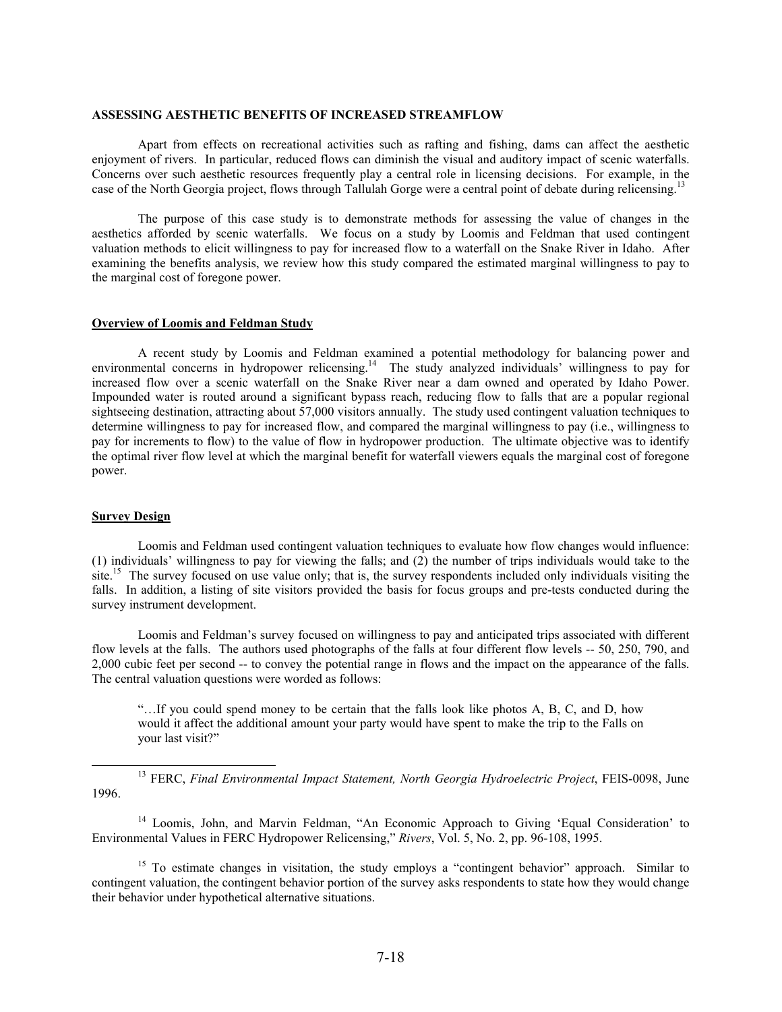#### **ASSESSING AESTHETIC BENEFITS OF INCREASED STREAMFLOW**

Apart from effects on recreational activities such as rafting and fishing, dams can affect the aesthetic enjoyment of rivers. In particular, reduced flows can diminish the visual and auditory impact of scenic waterfalls. Concerns over such aesthetic resources frequently play a central role in licensing decisions. For example, in the case of the North Georgia project, flows through Tallulah Gorge were a central point of debate during relicensing.<sup>13</sup>

The purpose of this case study is to demonstrate methods for assessing the value of changes in the aesthetics afforded by scenic waterfalls. We focus on a study by Loomis and Feldman that used contingent valuation methods to elicit willingness to pay for increased flow to a waterfall on the Snake River in Idaho. After examining the benefits analysis, we review how this study compared the estimated marginal willingness to pay to the marginal cost of foregone power.

#### **Overview of Loomis and Feldman Study**

A recent study by Loomis and Feldman examined a potential methodology for balancing power and environmental concerns in hydropower relicensing.<sup>14</sup> The study analyzed individuals' willingness to pay for increased flow over a scenic waterfall on the Snake River near a dam owned and operated by Idaho Power. Impounded water is routed around a significant bypass reach, reducing flow to falls that are a popular regional sightseeing destination, attracting about 57,000 visitors annually. The study used contingent valuation techniques to determine willingness to pay for increased flow, and compared the marginal willingness to pay (i.e., willingness to pay for increments to flow) to the value of flow in hydropower production. The ultimate objective was to identify the optimal river flow level at which the marginal benefit for waterfall viewers equals the marginal cost of foregone power.

#### **Survey Design**

Loomis and Feldman used contingent valuation techniques to evaluate how flow changes would influence: (1) individuals' willingness to pay for viewing the falls; and (2) the number of trips individuals would take to the site.<sup>15</sup> The survey focused on use value only; that is, the survey respondents included only individuals visiting the falls. In addition, a listing of site visitors provided the basis for focus groups and pre-tests conducted during the survey instrument development.

Loomis and Feldman's survey focused on willingness to pay and anticipated trips associated with different flow levels at the falls. The authors used photographs of the falls at four different flow levels -- 50, 250, 790, and 2,000 cubic feet per second -- to convey the potential range in flows and the impact on the appearance of the falls. The central valuation questions were worded as follows:

"…If you could spend money to be certain that the falls look like photos A, B, C, and D, how would it affect the additional amount your party would have spent to make the trip to the Falls on your last visit?"

<sup>13</sup> FERC, *Final Environmental Impact Statement, North Georgia Hydroelectric Project*, FEIS-0098, June 1996.

<sup>14</sup> Loomis, John, and Marvin Feldman, "An Economic Approach to Giving 'Equal Consideration' to Environmental Values in FERC Hydropower Relicensing," *Rivers*, Vol. 5, No. 2, pp. 96-108, 1995.

<sup>15</sup> To estimate changes in visitation, the study employs a "contingent behavior" approach. Similar to contingent valuation, the contingent behavior portion of the survey asks respondents to state how they would change their behavior under hypothetical alternative situations.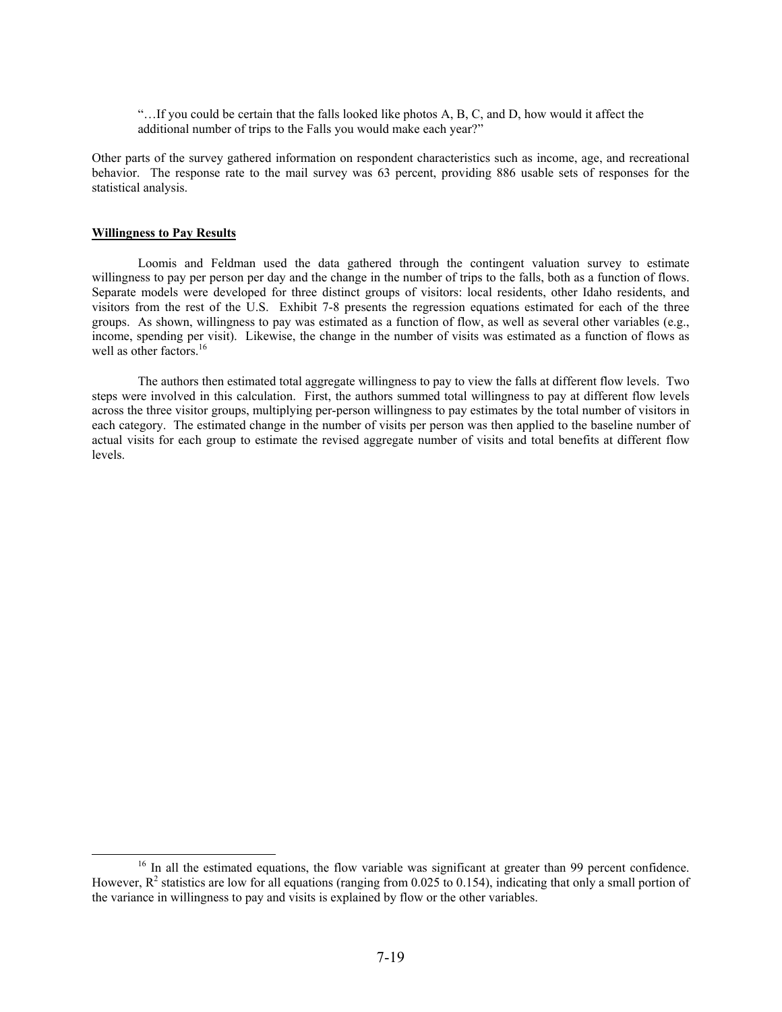"…If you could be certain that the falls looked like photos A, B, C, and D, how would it affect the additional number of trips to the Falls you would make each year?"

Other parts of the survey gathered information on respondent characteristics such as income, age, and recreational behavior. The response rate to the mail survey was 63 percent, providing 886 usable sets of responses for the statistical analysis.

#### **Willingness to Pay Results**

Loomis and Feldman used the data gathered through the contingent valuation survey to estimate willingness to pay per person per day and the change in the number of trips to the falls, both as a function of flows. Separate models were developed for three distinct groups of visitors: local residents, other Idaho residents, and visitors from the rest of the U.S. Exhibit 7-8 presents the regression equations estimated for each of the three groups. As shown, willingness to pay was estimated as a function of flow, as well as several other variables (e.g., income, spending per visit). Likewise, the change in the number of visits was estimated as a function of flows as well as other factors.<sup>16</sup>

The authors then estimated total aggregate willingness to pay to view the falls at different flow levels. Two steps were involved in this calculation. First, the authors summed total willingness to pay at different flow levels across the three visitor groups, multiplying per-person willingness to pay estimates by the total number of visitors in each category. The estimated change in the number of visits per person was then applied to the baseline number of actual visits for each group to estimate the revised aggregate number of visits and total benefits at different flow levels.

<sup>&</sup>lt;sup>16</sup> In all the estimated equations, the flow variable was significant at greater than 99 percent confidence. However,  $R^2$  statistics are low for all equations (ranging from 0.025 to 0.154), indicating that only a small portion of the variance in willingness to pay and visits is explained by flow or the other variables.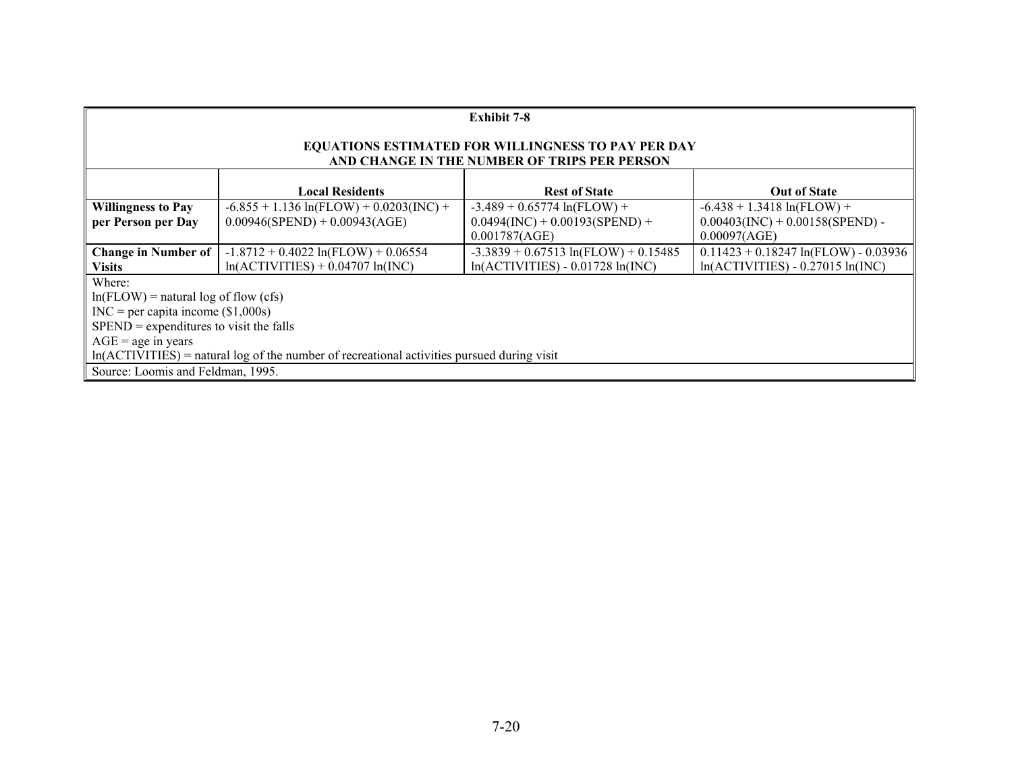| <b>Exhibit 7-8</b>                                                                                                                                                                                                                                            |                                                                               |                                                                                      |                                                                                     |  |  |  |
|---------------------------------------------------------------------------------------------------------------------------------------------------------------------------------------------------------------------------------------------------------------|-------------------------------------------------------------------------------|--------------------------------------------------------------------------------------|-------------------------------------------------------------------------------------|--|--|--|
| EQUATIONS ESTIMATED FOR WILLINGNESS TO PAY PER DAY<br>AND CHANGE IN THE NUMBER OF TRIPS PER PERSON                                                                                                                                                            |                                                                               |                                                                                      |                                                                                     |  |  |  |
|                                                                                                                                                                                                                                                               | <b>Local Residents</b><br><b>Rest of State</b><br><b>Out of State</b>         |                                                                                      |                                                                                     |  |  |  |
| <b>Willingness to Pay</b><br>per Person per Day                                                                                                                                                                                                               | $-6.855 + 1.136 \ln(FLOW) + 0.0203(INC) +$<br>$0.00946(SPEND) + 0.00943(AGE)$ | $-3.489 + 0.65774 \ln(FLOW) +$<br>$0.0494$ (INC) + 0.00193(SPEND) +<br>0.001787(AGE) | $-6.438 + 1.3418 \ln(FLOW) +$<br>$0.00403$ (INC) + 0.00158(SPEND) -<br>0.00097(AGE) |  |  |  |
| <b>Change in Number of</b><br><b>Visits</b>                                                                                                                                                                                                                   | $-1.8712 + 0.4022 \ln(FLOW) + 0.06554$<br>$ln(ACTIVITIES) + 0.04707 ln(INC)$  | $-3.3839 + 0.67513 \ln(FLOW) + 0.15485$<br>$ln(ACTIVITIES) - 0.01728 ln(INC)$        | $0.11423 + 0.18247 \ln(FLOW) - 0.03936$<br>$ln(ACTIVITIES) - 0.27015 ln(INC)$       |  |  |  |
| Where:<br>$ln(FLOW)$ = natural log of flow (cfs)<br>$INC = per$ capita income (\$1,000s)<br>$SPEND =$ expenditures to visit the falls<br>$AGE = age$ in years<br>$ln(ACTIVITIES)$ = natural log of the number of recreational activities pursued during visit |                                                                               |                                                                                      |                                                                                     |  |  |  |
| Source: Loomis and Feldman, 1995.                                                                                                                                                                                                                             |                                                                               |                                                                                      |                                                                                     |  |  |  |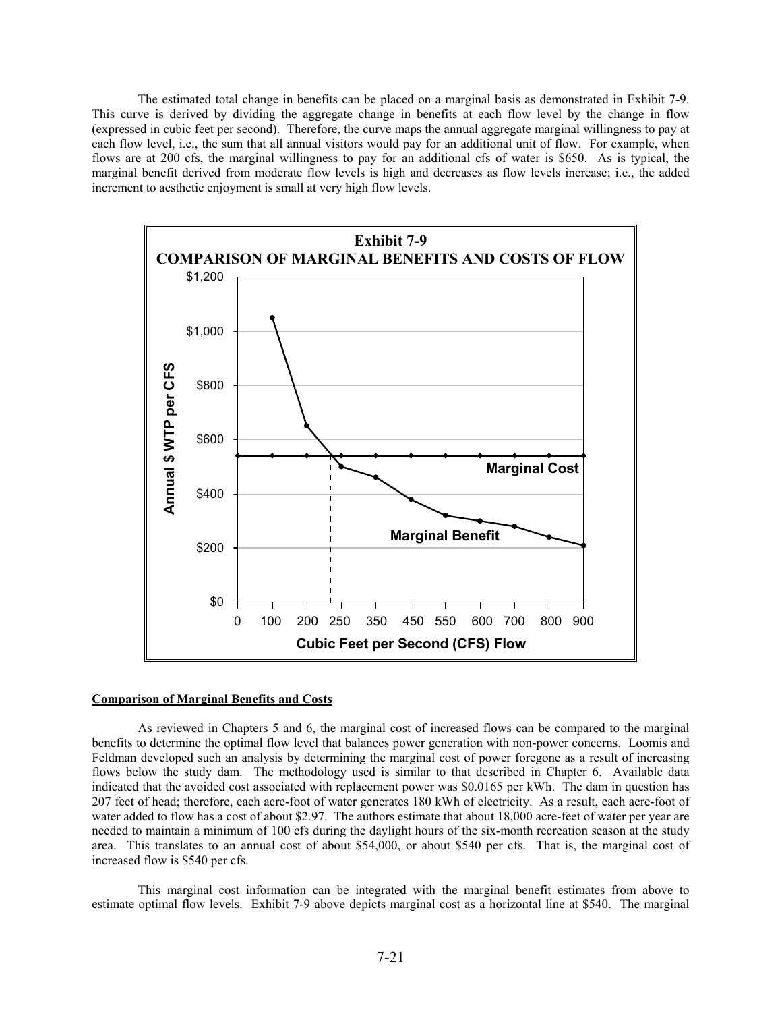The estimated total change in benefits can be placed on a marginal basis as demonstrated in Exhibit 7-9. This curve is derived by dividing the aggregate change in benefits at each flow level by the change in flow (expressed in cubic feet per second). Therefore, the curve maps the annual aggregate marginal willingness to pay at each flow level, i.e., the sum that all annual visitors would pay for an additional unit of flow. For example, when flows are at 200 cfs, the marginal willingness to pay for an additional cfs of water is \$650. As is typical, the marginal benefit derived from moderate flow levels is high and decreases as flow levels increase; i.e., the added increment to aesthetic enjoyment is small at very high flow levels.



#### **Comparison of Marginal Benefits and Costs**

 As reviewed in Chapters 5 and 6, the marginal cost of increased flows can be compared to the marginal benefits to determine the optimal flow level that balances power generation with non-power concerns. Loomis and Feldman developed such an analysis by determining the marginal cost of power foregone as a result of increasing flows below the study dam. The methodology used is similar to that described in Chapter 6. Available data indicated that the avoided cost associated with replacement power was \$0.0165 per kWh. The dam in question has 207 feet of head; therefore, each acre-foot of water generates 180 kWh of electricity. As a result, each acre-foot of water added to flow has a cost of about \$2.97. The authors estimate that about 18,000 acre-feet of water per year are needed to maintain a minimum of 100 cfs during the daylight hours of the six-month recreation season at the study area. This translates to an annual cost of about \$54,000, or about \$540 per cfs. That is, the marginal cost of increased flow is \$540 per cfs.

 This marginal cost information can be integrated with the marginal benefit estimates from above to estimate optimal flow levels. Exhibit 7-9 above depicts marginal cost as a horizontal line at \$540. The marginal